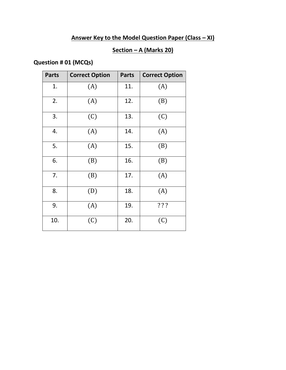# **Answer Key to the Model Question Paper (Class - XI)**

# **Section – A (Marks 20)**

# **Question # 01 (MCQs)**

| <b>Parts</b> | <b>Correct Option</b> | <b>Parts</b> | <b>Correct Option</b> |
|--------------|-----------------------|--------------|-----------------------|
| 1.           | (A)                   | 11.          | (A)                   |
| 2.           | (A)                   | 12.          | (B)                   |
| 3.           | (C)                   | 13.          | (C)                   |
| 4.           | (A)                   | 14.          | (A)                   |
| 5.           | (A)                   | 15.          | (B)                   |
| 6.           | (B)                   | 16.          | (B)                   |
| 7.           | (B)                   | 17.          | (A)                   |
| 8.           | (D)                   | 18.          | (A)                   |
| 9.           | (A)                   | 19.          | 777                   |
| 10.          | (C)                   | 20.          | (C)                   |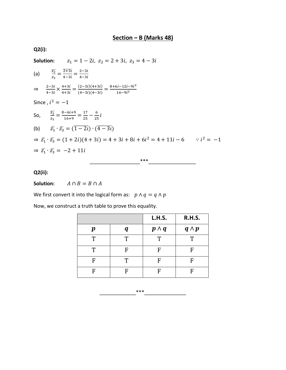**Q2(i):**

**Solution:**  $z_1 = 1 - 2i$ ,  $z_2 = 2 + 3i$ ,  $z_3 = 4 - 3i$ (a)  $\frac{\overline{z_2}}{z_3} = \frac{\overline{z_3}}{4-3i}$  $\frac{\overline{2+3i}}{4-3i} = \frac{2-3i}{4-3i}$ 4−3  $\Rightarrow \frac{2-3i}{4-3i}$  $rac{2-3i}{4-3i} \times \frac{4+3i}{4+3i}$  $\frac{4+3i}{4+3i} = \frac{(2-3i)(4+3i)}{(4-3i)(4-3i)}$  $\frac{(2-3i)(4+3i)}{(4-3i)(4-3i)} = \frac{8+6i-12i-9i^2}{16-9i^2}$ 16−9 2 Since ,  $i^2 = -1$ So,  $\frac{\overline{z_2}}{z_3} = \frac{8-6i+9}{16+9}$  $\frac{-6i+9}{16+9} = \frac{17}{25}$  $\frac{17}{25} - \frac{6}{25}$  $rac{6}{25}i$ (b)  $\bar{z_1} \cdot \bar{z_3} = (\overline{1-2i}) \cdot (\overline{4-3i})$  $\Rightarrow \overline{z_1} \cdot \overline{z_3} = (1 + 2i)(4 + 3i) = 4 + 3i + 8i + 6i^2 = 4 + 11i - 6$   $\therefore i^2 = -1$  $\Rightarrow \overline{z_1} \cdot \overline{z_3} = -2 + 11i$ \_\_\_\_\_\_\_\_\_\_\_\_\_\_\_\_\_\_\*\*\*\_\_\_\_\_\_\_\_\_\_\_\_\_\_\_\_\_

#### **Q2(ii):**

**Solution:**  $A \cap B = B \cap A$ 

We first convert it into the logical form as:  $p \wedge q = q \wedge p$ 

Now, we construct a truth table to prove this equality.

|                  |   | L.H.S.       | <b>R.H.S.</b> |  |
|------------------|---|--------------|---------------|--|
| $\boldsymbol{p}$ | q | $p \wedge q$ | $q \wedge p$  |  |
|                  | ፐ |              |               |  |
| Т                | F | F            | F             |  |
| F                | ጥ | F            | F             |  |
| F                |   | C            | F             |  |

$$
\begin{matrix} * * * \\ \hline \end{matrix}
$$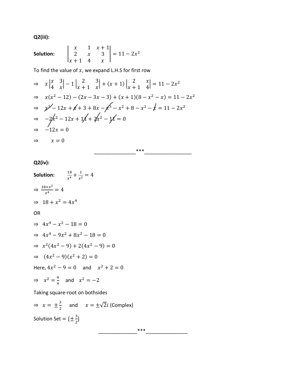**Q2(iii):**

Solution: 
$$
\begin{vmatrix} x & 1 & x+1 \\ 2 & x & 3 \\ x+1 & 4 & x \end{vmatrix} = 11 - 2x^2
$$

To find the value of  $x$ , we expand L.H.S for first row

$$
\Rightarrow x\begin{vmatrix} x & 3 \\ 4 & x \end{vmatrix} - 1\begin{vmatrix} 2 & 3 \\ x + 1 & x \end{vmatrix} + (x + 1)\begin{vmatrix} 2 & x \\ x + 1 & 4 \end{vmatrix} = 11 - 2x^2
$$
  
\n
$$
\Rightarrow x(x^2 - 12) - (2x - 3x - 3) + (x + 1)(8 - x^2 - x) = 11 - 2x^2
$$
  
\n
$$
\Rightarrow x^{2} - 12x + x + 3 + 8x - x^{3} - x^{2} + 8 - x^{2} - x = 11 - 2x^2
$$
  
\n
$$
\Rightarrow -2x^{2} - 12x + 11 + 2x^{2} - 11 = 0
$$
  
\n
$$
\Rightarrow -12x = 0
$$
  
\n
$$
\Rightarrow x = 0
$$

\_\_\_\_\_\_\_\_\_\_\_\_\_\_\_\*\*\*\_\_\_\_\_\_\_\_\_\_\_\_\_\_\_\_\_

#### **Q2(iv):**

**Solution:**  $\frac{18}{x^4} + \frac{1}{x^2}$  $\frac{1}{x^2} = 4$  $\Rightarrow \frac{18+x^2}{x^4}$  $\frac{5+x}{x^4} = 4$  $\Rightarrow$  18 +  $x^2 = 4x^4$ OR  $\Rightarrow$  4x<sup>4</sup> – x<sup>2</sup> – 18 = 0  $\Rightarrow$  4x<sup>4</sup> - 9x<sup>2</sup> + 8x<sup>2</sup> - 18 = 0  $\Rightarrow$   $x^2(4x^2-9)+2(4x^2-9)=0$  $\Rightarrow$   $(4x^2 - 9)(x^2 + 2) = 0$ Here,  $4x^2 - 9 = 0$  and  $x^2 + 2 = 0$  $\Rightarrow x^2 = \frac{9}{4}$  $\frac{9}{4}$  and  $x^2 = -2$ 

Taking square-root on bothsides

 $\Rightarrow x = \pm \frac{3}{2}$  $\frac{3}{2}$  and  $x = \pm \sqrt{2}i$  (Complex) Solution Set =  $\{\pm \frac{3}{2}\}$  $\frac{3}{2}$ 

\_\_\_\_\_\_\_\_\_\_\_\_\_\_\*\*\*\_\_\_\_\_\_\_\_\_\_\_\_\_\_\_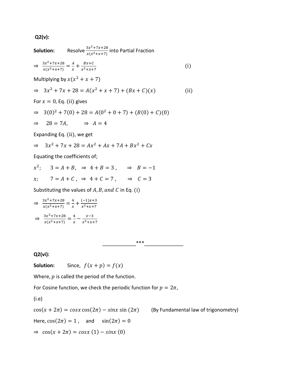**Q2(v):**

Solution: Resolve 
$$
\frac{3x^2 + 7x + 28}{x(x^2 + x + 7)}
$$
 into Partial Fraction  
\n
$$
\Rightarrow \frac{3x^2 + 7x + 28}{x(x^2 + x + 7)} = \frac{A}{x} + \frac{Bx + C}{x^2 + x + 7}
$$
 (i)

Multiplying by  $x(x^2 + x + 7)$ 

$$
\Rightarrow 3x^2 + 7x + 28 = A(x^2 + x + 7) + (Bx + C)(x)
$$
 (ii)

For  $x = 0$ , Eq. (ii) gives

$$
\Rightarrow 3(0)^2 + 7(0) + 28 = A(0^2 + 0 + 7) + (B(0) + C)(0)
$$

$$
\Rightarrow \quad 28 = 7A, \qquad \Rightarrow A = 4
$$

Expanding Eq. (ii), we get

$$
\Rightarrow 3x^2 + 7x + 28 = Ax^2 + Ax + 7A + Bx^2 + Cx
$$

Equating the coefficients of;

$$
x^2; \quad 3 = A + B, \Rightarrow 4 + B = 3, \quad \Rightarrow B = -1
$$

$$
x; \qquad 7 = A + C \ , \ \Rightarrow \ 4 + C = 7 \ , \qquad \Rightarrow \quad C = 3
$$

Substituting the values of  $A$ ,  $B$ , and  $C$  in Eq. (i)

$$
\Rightarrow \frac{3x^2 + 7x + 28}{x(x^2 + x + 7)} = \frac{4}{x} + \frac{(-1)x + 3}{x^2 + x + 7}
$$

$$
\Rightarrow \frac{3x^2 + 7x + 28}{x(x^2 + x + 7)} = \frac{4}{x} - \frac{x - 3}{x^2 + x + 7}
$$

\_\_\_\_\_\_\_\_\_\_\_\_\*\*\*\_\_\_\_\_\_\_\_\_\_\_\_\_\_

#### **Q2(vi):**

**Solution:** Since,  $f(x+p) = f(x)$ 

Where,  $p$  is called the period of the function.

For Cosine function, we check the periodic function for  $p = 2\pi$ ,

(i.e)

 $cos(x + 2\pi) = cosx cos(2\pi) - sinx sin(2\pi)$  (By Fundamental law of trigonometry)

Here,  $cos(2\pi) = 1$ , and  $sin(2\pi) = 0$  $\Rightarrow$  cos(x + 2 $\pi$ ) = cosx (1) – sinx (0)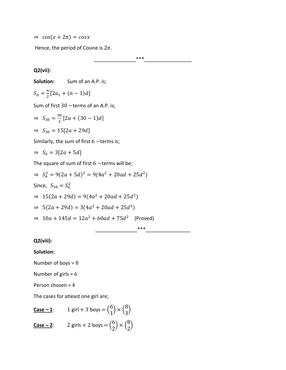$\Rightarrow$  cos(x + 2 $\pi$ ) = cosx

Hence, the period of Cosine is  $2\pi$ .

\_\_\_\_\_\_\_\_\_\_\_\_\_\_\_\*\*\*\_\_\_\_\_\_\_\_\_\_\_\_\_\_\_\_\_

### **Q2(vii):**

**Solution:** Sum of an A.P. is;

$$
S_n = \frac{n}{2} [2a_1 + (n-1)d]
$$

Sum of first 30 −terms of an A.P. is;

⇒ 
$$
S_{30} = \frac{30}{2} [2a + (30 - 1)d]
$$
  
\n⇒  $S_{30} = 15[2a + 29d]$   
\nSimilarly, the sum of first 6 – terms is;  
\n⇒  $S_6 = 3[2a + 5d]$   
\nThe square of sum of first 6 – terms will be;  
\n⇒  $S_6^2 = 9(2a + 5d)^2 = 9(4a^2 + 20ad + 25d^2)$   
\nSince,  $S_{30} = S_6^2$   
\n⇒  $15(2a + 29d) = 9(4a^2 + 20ad + 25d^2)$   
\n⇒  $5(2a + 29d) = 3(4a^2 + 20ad + 25d^2)$   
\n⇒  $10a + 145d = 12a^2 + 60ad + 75d^2$  (Proved)

#### **Q2(viii):**

#### **Solution:**

Number of boys = 8

Number of girls = 6

Person chosen = 4

The cases for atleast one girl are;

**<u>Case – 1</u>**: 1 girl + 3 boys =  $\binom{6}{1}$  $\binom{6}{1} \times \binom{8}{3}$  $\binom{6}{3}$ 

**<u>Case – 2</u>:** 2 girls + 2 boys =  $\binom{6}{3}$  ${6 \choose 2} \times {8 \choose 2}$  $\binom{1}{2}$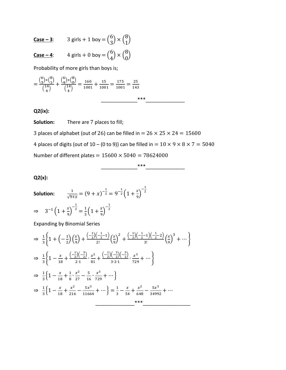Case - 3: 
$$
3 \text{ girls} + 1 \text{ boy} = \binom{6}{3} \times \binom{8}{1}
$$
  
Case - 4:  $4 \text{ girls} + 0 \text{ boy} = \binom{6}{4} \times \binom{8}{0}$ 

Probability of more girls than boys is;

$$
=\frac{\binom{6}{3}\times\binom{8}{1}}{\binom{14}{4}} + \frac{\binom{6}{4}\times\binom{8}{0}}{\binom{14}{4}} = \frac{160}{1001} + \frac{15}{1001} = \frac{175}{1001} = \frac{25}{143}
$$

**Q2(ix):**

**Solution:** There are 7 places to fill;

3 places of alphabet (out of 26) can be filled in =  $26 \times 25 \times 24 = 15600$ 

4 places of digits (out of 10 – (0 to 9)) can be filled in =  $10 \times 9 \times 8 \times 7 = 5040$ 

Number of different plates =  $15600 \times 5040 = 78624000$ 

$$
\begin{matrix} \ast \ast \ast \\ \hline \end{matrix}
$$

2

**Q2(x):**

**Solution:** 

Solution: 
$$
\frac{1}{\sqrt{9+x}} = (9+x)^{-\frac{1}{2}} = 9^{-\frac{1}{2}} \left(1 + \frac{x}{9}\right)^{-\frac{1}{2}}
$$

$$
\Rightarrow 3^{-1} \left(1 + \frac{x}{9}\right)^{-\frac{1}{2}} = \frac{1}{3} \left(1 + \frac{x}{9}\right)^{-\frac{1}{2}}
$$

Expanding by Binomial Series

$$
\Rightarrow \frac{1}{3} \left\{ 1 + \left( -\frac{1}{2} \right) \left( \frac{x}{9} \right) + \frac{\left( -\frac{1}{2} \right) \left( -\frac{1}{2} - 1 \right)}{2!} \left( \frac{x}{9} \right)^2 + \frac{\left( -\frac{1}{2} \right) \left( -\frac{1}{2} - 1 \right) \left( -\frac{1}{2} - 2 \right)}{3!} \left( \frac{x}{9} \right)^3 + \cdots \right\}
$$
  
\n
$$
\Rightarrow \frac{1}{3} \left\{ 1 - \frac{x}{18} + \frac{\left( -\frac{1}{2} \right) \left( -\frac{3}{2} \right)}{2 \cdot 1} \cdot \frac{x^2}{81} + \frac{\left( -\frac{1}{2} \right) \left( -\frac{3}{2} \right) \left( -\frac{5}{2} \right)}{3 \cdot 2 \cdot 1} \cdot \frac{x^3}{729} + \cdots \right\}
$$
  
\n
$$
\Rightarrow \frac{1}{3} \left\{ 1 - \frac{x}{18} + \frac{1}{8} \cdot \frac{x^2}{27} - \frac{5}{16} \cdot \frac{x^3}{729} + \cdots \right\}
$$
  
\n
$$
\Rightarrow \frac{1}{3} \left\{ 1 - \frac{x}{18} + \frac{x^2}{216} - \frac{5x^3}{11664} + \cdots \right\} = \frac{1}{3} - \frac{x}{54} + \frac{x^2}{648} - \frac{5x^3}{34992} + \cdots
$$
  
\n
$$
\xrightarrow{\text{***}}
$$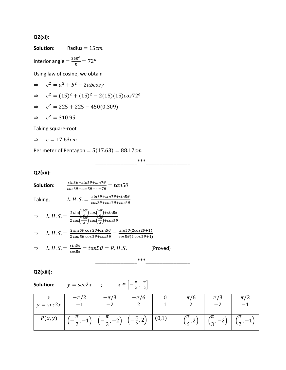### **Q2(xi):**

**Solution:** Radius = 15cm Interior angle =  $\frac{360^o}{5}$  $\frac{5^{10}}{5}$  = 72<sup>o</sup>

Using law of cosine, we obtain

$$
\Rightarrow c2 = a2 + b2 - 2abcos\gamma
$$
  
\n
$$
\Rightarrow c2 = (15)2 + (15)2 - 2(15)(15)cos72o
$$
  
\n
$$
\Rightarrow c2 = 225 + 225 - 450(0.309)
$$

$$
\Rightarrow c^2 = 310.95
$$

Taking square-root

$$
\Rightarrow c = 17.63cm
$$

Perimeter of Pentagon =  $5(17.63) = 88.17$ cm

\_\_\_\_\_\_\_\_\_\_\_\_\_\_\_\*\*\*\_\_\_\_\_\_\_\_\_\_\_\_\_\_\_\_

**Q2(xii):**

| Solution: | $\frac{sin3\theta + sin5\theta + sin7\theta}{cos3\theta + cos5\theta + cos7\theta} = tan5\theta$                                                                                                                                                                       |  |  |
|-----------|------------------------------------------------------------------------------------------------------------------------------------------------------------------------------------------------------------------------------------------------------------------------|--|--|
| Taking,   | L. H.S. = $\frac{sin3\theta + sin7\theta + sin5\theta}{cos3\theta + cos7\theta + cos5\theta}$                                                                                                                                                                          |  |  |
|           | $\Rightarrow L.H.S. = \frac{2 \sin(\frac{10\theta}{2}) \cos(\frac{4\theta}{2}) + \sin 5\theta}{2 \cos(\frac{10\theta}{2}) \cos(\frac{4\theta}{2}) + \cos 5\theta}$                                                                                                     |  |  |
|           | $\Rightarrow$ L.H.S. = $\frac{2 \sin 5\theta \cos 2\theta + \sin 5\theta}{2 \cos 2\theta + \sin 5\theta} = \frac{\sin 5\theta (2\cos 2\theta + 1)}{2 \cos 2\theta + \sin 2\theta}$<br>2 cos 5 $\theta$ cos 2 $\theta$ +cos 5 $\theta$<br>$cos5\theta(2 cos 2\theta+1)$ |  |  |
|           | $\Rightarrow$ L.H.S. = $\frac{\sin 5\theta}{\cos 5\theta} = \tan 5\theta = R.H.S.$<br>(Proved)                                                                                                                                                                         |  |  |
|           | ***                                                                                                                                                                                                                                                                    |  |  |

### **Q2(xiii):**

#### **Solution:**  $y = sec2x$  ;  $x \in \left[-\frac{\pi}{2}\right]$  $\frac{\pi}{2}$ ,  $\frac{\pi}{2}$  $\frac{\pi}{2}$

| ้ั∿                        |        |             | $-\pi/6$              |       | $\pi/6$                                       | $\pi$ .                     |  |
|----------------------------|--------|-------------|-----------------------|-------|-----------------------------------------------|-----------------------------|--|
| $= sec2x$<br>$\mathcal{V}$ |        |             |                       |       |                                               |                             |  |
|                            |        |             |                       |       |                                               |                             |  |
| P(x, y)                    | π<br>≂ | $\sim$<br>∼ | $\pi$ $\gamma$<br>, Z | (0,1) | $\pi$<br>$\Omega$<br>$\overline{\phantom{0}}$ | $\pi$<br>$\sim$<br><u>.</u> |  |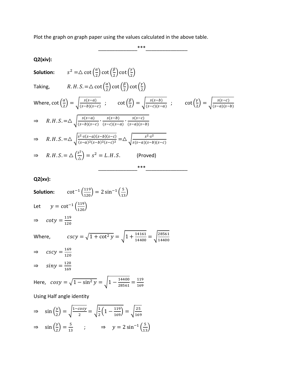Plot the graph on graph paper using the values calculated in the above table.

\_\_\_\_\_\_\_\_\_\_\_\_\_\_\*\*\*\_\_\_\_\_\_\_\_\_\_\_\_\_\_\_ **Q2(xiv): Solution:**  $s^2 = \triangle \cot \left( \frac{\alpha}{2} \right)$  $\frac{\alpha}{2}$ ) cot  $\left(\frac{\beta}{2}\right)$  $\frac{\beta}{2}$ ) cot  $\left(\frac{\gamma}{2}\right)$  $\frac{r}{2}$ Taking,  $R.H.S.=\triangle \cot\left(\frac{\alpha}{2}\right)$  $\frac{\alpha}{2}$ ) cot  $\left(\frac{\beta}{2}\right)$  $\frac{\beta}{2}$ ) cot  $\left(\frac{\gamma}{2}\right)$  $\frac{r}{2}$ Where,  $\cot\left(\frac{\alpha}{2}\right)$  $\frac{\alpha}{2} = \sqrt{\frac{s(s-a)}{(s-b)(s-b)}}$  $\frac{s(s-a)}{(s-b)(s-c)}$  ; cot  $\left(\frac{\beta}{2}\right)$  $\frac{\beta}{2}$ ) =  $\sqrt{\frac{s(s-b)}{(s-c)(s-b)}}$  $\frac{s(s-b)}{(s-c)(s-a)}$  ; cot $\left(\frac{\gamma}{2}\right)$  $\frac{\gamma}{2} = \sqrt{\frac{s(s-c)}{(s-a)(s-c)}}$  $(s-a)(s-b)$  $\Rightarrow$   $R.H.S.=\triangle$   $\int_{(c-h)(c)}^{s(s-a)}$  $\frac{s(s-a)}{(s-b)(s-c)} \cdot \frac{s(s-b)}{(s-c)(s-b)}$  $\frac{s(s-b)}{(s-c)(s-a)} \cdot \frac{s(s-c)}{(s-a)(s-a)}$  $(s-a)(s-b)$ ⇒  $R.H.S. = \triangle \sqrt{\frac{s^2 \cdot s(s-a)(s-b)(s-c)}{(s-a)^2(s-b)^2(s-c)^2}} = \triangle \sqrt{\frac{s^2 \cdot s^2}{s(s-a)(s-b)^2(s-c)^2}}$  $s(s-a)(s-b)(s-c)$  $\Rightarrow$  R.H.S. =  $\triangle \left( \frac{s^2}{4} \right)$  $\binom{s^2}{\Delta}$  =  $s^2$  = L. H. S. (Proved) \_\_\_\_\_\_\_\_\_\_\_\_\_\_\*\*\*\_\_\_\_\_\_\_\_\_\_\_\_\_\_\_

**Q2(xv):**

**Solution:**  $\cot^{-1}\left(\frac{119}{120}\right) = 2\sin^{-1}\left(\frac{5}{13}\right)$ Let  $y = \cot^{-1} \left( \frac{119}{120} \right)$  $\Rightarrow$  coty =  $\frac{119}{122}$ 120 Where,  $cscy = \sqrt{1 + \cot^2 y} = \sqrt{1 + \frac{14161}{14400}}$  $\frac{14161}{14400} = \sqrt{\frac{28561}{14400}}$ 14400  $\Rightarrow$   $cscy = \frac{169}{120}$ 120  $\Rightarrow$   $\sin y = \frac{120}{160}$ 169 Here,  $cos y = \sqrt{1 - sin^2 y} = \sqrt{1 - \frac{14400}{20564}}$  $\frac{14400}{28561} = \frac{119}{169}$ 169 Using Half angle identity

$$
\Rightarrow \sin\left(\frac{y}{2}\right) = \sqrt{\frac{1-\cos y}{2}} = \sqrt{\frac{1}{2}\left(1 - \frac{119}{169}\right)} = \sqrt{\frac{25}{169}}
$$

$$
\Rightarrow \sin\left(\frac{y}{2}\right) = \frac{5}{13} \qquad ; \qquad \Rightarrow \qquad y = 2\sin^{-1}\left(\frac{5}{13}\right)
$$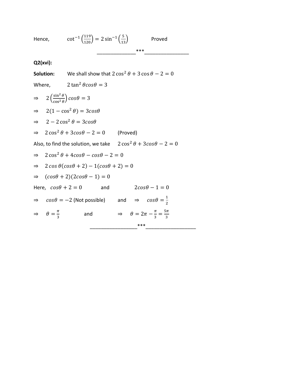Hence, 
$$
\cot^{-1} \left(\frac{119}{120}\right) = 2 \sin^{-1} \left(\frac{5}{13}\right)
$$
 Proved  
\n  
\n22(xvi):  
\nSolution: We shall show that  $2 \cos^2 \theta + 3 \cos \theta - 2 = 0$   
\nWhere,  $2 \tan^2 \theta \cos \theta = 3$   
\n $\Rightarrow 2 \left(\frac{\sin^2 \theta}{\cos^2 \theta}\right) \cos \theta = 3$   
\n $\Rightarrow 2(1 - \cos^2 \theta) = 3 \cos \theta$   
\n $\Rightarrow 2 - 2 \cos^2 \theta = 3 \cos \theta$   
\n $\Rightarrow 2 \cos^2 \theta + 3 \cos \theta - 2 = 0$  (Proved)  
\nAlso, to find the solution, we take  $2 \cos^2 \theta + 3 \cos \theta - 2 = 0$   
\n $\Rightarrow 2 \cos^2 \theta + 4 \cos \theta - \cos \theta - 2 = 0$   
\n $\Rightarrow 2 \cos \theta (\cos \theta + 2) - 1(\cos \theta + 2) = 0$   
\n $\Rightarrow (\cos \theta + 2)(2 \cos \theta - 1) = 0$   
\nHere,  $\cos \theta + 2 = 0$  and  $2 \cos \theta - 1 = 0$   
\n $\Rightarrow \cos \theta = -2$  (Not possible) and  $\Rightarrow \cos \theta = \frac{1}{2}$   
\n $\Rightarrow \theta = \frac{\pi}{3}$  and  $\Rightarrow \theta = 2\pi - \frac{\pi}{3} = \frac{5\pi}{3}$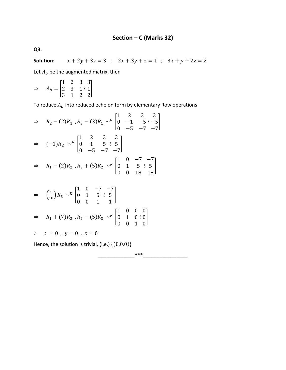# **Section – C (Marks 32)**

**Q3.**

**Solution:**  $x + 2y + 3z = 3$ ;  $2x + 3y + z = 1$ ;  $3x + y + 2z = 2$ 

Let  $A_b$  be the augmented matrix, then

$$
\Rightarrow \quad A_b = \begin{bmatrix} 1 & 2 & 3 & 3 \\ 2 & 3 & 1 & 1 \\ 3 & 1 & 2 & 2 \end{bmatrix}
$$

To reduce  $A_b$  into reduced echelon form by elementary Row operations

$$
\Rightarrow R_2 - (2)R_1, R_3 - (3)R_1 \sim R \begin{bmatrix} 1 & 2 & 3 & 3 \\ 0 & -1 & -5 & -5 \\ 0 & -5 & -7 & -7 \end{bmatrix}
$$
  
\n
$$
\Rightarrow (-1)R_2 \sim R \begin{bmatrix} 1 & 2 & 3 & 3 \\ 0 & 1 & 5 & 5 \\ 0 & -5 & -7 & -7 \end{bmatrix}
$$
  
\n
$$
\Rightarrow R_1 - (2)R_2, R_3 + (5)R_2 \sim R \begin{bmatrix} 1 & 0 & -7 & -7 \\ 0 & 1 & 5 & 5 \\ 0 & 0 & 18 & 18 \end{bmatrix}
$$

$$
\Rightarrow \quad \left(\frac{1}{18}\right) R_3 \sim^R \begin{bmatrix} 1 & 0 & -7 & -7 \\ 0 & 1 & 5 & \vdots & 5 \\ 0 & 0 & 1 & 1 \end{bmatrix}
$$
  
\n
$$
\Rightarrow R_1 + (7)R_3 \, R_2 - (5)R_3 \sim^R \begin{bmatrix} 1 & 0 & 0 & 0 \\ 0 & 1 & 0 & \vdots \\ 0 & 0 & 1 & 0 \end{bmatrix}
$$
  
\n
$$
\therefore x = 0 \, , \, y = 0 \, , \, z = 0
$$

Hence, the solution is trivial, (i.e.)  $\{(0,0,0)\}$ 

\*\*\*<br>————————————————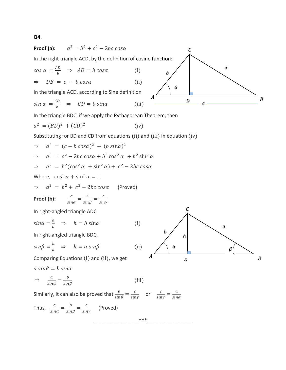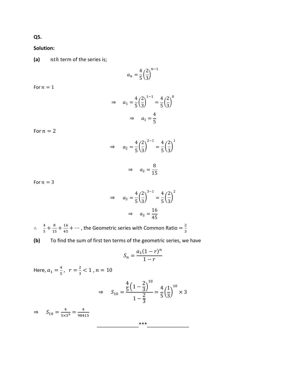**Q5.**

**Solution:**

**(a)**  $nth$  term of the series is;

$$
a_n = \frac{4}{5} \left(\frac{2}{3}\right)^{n-1}
$$

For  $n = 1$ 

$$
\Rightarrow a_1 = \frac{4}{5} \left(\frac{2}{3}\right)^{1-1} = \frac{4}{5} \left(\frac{2}{3}\right)^0
$$

$$
\Rightarrow a_1 = \frac{4}{5}
$$

For  $n = 2$ 

$$
\Rightarrow \quad a_2 = \frac{4}{5} \left(\frac{2}{3}\right)^{2-1} = \frac{4}{5} \left(\frac{2}{3}\right)^{1}
$$
\n
$$
\Rightarrow \quad a_2 = \frac{8}{15}
$$

For  $n=3$ 

$$
\Rightarrow \quad a_3 = \frac{4}{5} \left(\frac{2}{3}\right)^{3-1} = \frac{4}{5} \left(\frac{2}{3}\right)^2 \\
\Rightarrow \quad a_3 = \frac{16}{45}
$$

- ∴  $\frac{4}{5}$  $\frac{4}{5} + \frac{8}{15}$  $\frac{8}{15} + \frac{16}{45}$  $\frac{16}{45} + \cdots$ , the Geometric series with Common Ratio =  $\frac{2}{3}$  $\frac{2}{3}$
- **(b)** To find the sum of first ten terms of the geometric series, we have

$$
S_n = \frac{a_1(1-r)^n}{1-r}
$$

Here,  $a_1 = \frac{4}{5}$  $\frac{4}{5}$ ,  $r = \frac{2}{3}$  $\frac{2}{3}$  < 1, n = 10

$$
\Rightarrow S_{10} = \frac{\frac{4}{5} \left( 1 - \frac{2}{3} \right)^{10}}{1 - \frac{2}{3}} = \frac{4}{5} \left( \frac{1}{3} \right)^{10} \times 3
$$

\_\_\_\_\_\_\_\_\_\_\_\_\_\_\_\*\*\*\_\_\_\_\_\_\_\_\_\_\_\_\_\_\_

 $\Rightarrow$   $S_{10} = \frac{4}{5x^2}$  $\frac{4}{5\times3^9} = \frac{4}{984}$ 98415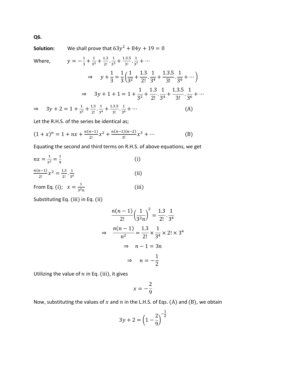**Q6.**

**Solution:** We shall prove that  $63y^2 + 84y + 19 = 0$ Where,  $y=-\frac{1}{3}$  $\frac{1}{3} + \frac{1}{3^3}$  $\frac{1}{3^3} + \frac{1 \cdot 3}{2!}$  $\frac{1.3}{2!} \cdot \frac{1}{3!}$  $\frac{1}{3^5} + \frac{1.3.5}{3!}$  $rac{.3.5}{3!} \cdot \frac{1}{3}$  $\frac{1}{3^7} + \cdots$  $\Rightarrow$  y + 1 3 = 1 3 ( 1  $\frac{1}{3^2}$  + 1.3 2! . 1  $\frac{1}{3^4}$  + 1.3.5 3! . 1  $\frac{1}{3^6} + \cdots$ )  $\Rightarrow$  3y + 1 + 1 = 1 + 1  $\frac{1}{3^2}$  + 1.3 2! . 1  $\frac{1}{3^4}$  + 1.3.5 3! . 1  $\frac{1}{3^6} + \cdots$  $\Rightarrow$  3y + 2 = 1 +  $\frac{1}{2}$  $\frac{1}{3^2} + \frac{1 \cdot 3}{2!}$  $\frac{1.3}{2!} \cdot \frac{1}{3^4}$  $\frac{1}{3^4} + \frac{1 \cdot 3 \cdot 5}{3!}$  $rac{.3.5}{3!} \cdot \frac{1}{3^6}$  $\frac{1}{3^6} + \cdots$  (A)

Let the R.H.S. of the series be identical as;

$$
(1+x)^n = 1 + nx + \frac{n(n-1)}{2!}x^2 + \frac{n(n-1)(n-2)}{3!}x^3 + \cdots
$$
 (B)

Equating the second and third terms on R.H.S. of above equations, we get

$$
nx = \frac{1}{3^2} = \frac{1}{9}
$$
 (i)

$$
\frac{n(n-1)}{2!}x^2 = \frac{1\cdot 3}{2!} \cdot \frac{1}{3^4} \tag{ii}
$$

From Eq. (i); 
$$
x = \frac{1}{3^2 n}
$$
 (iii)

Substituting Eq. (iii) in Eq. (ii)

$$
\frac{n(n-1)}{2!} \left(\frac{1}{3^2 n}\right)^2 = \frac{1 \cdot 3}{2!} \cdot \frac{1}{3^4}
$$
  
\n
$$
\Rightarrow \frac{n(n-1)}{n^2} = \frac{1 \cdot 3}{2!} \times \frac{1}{3^4} \times 2! \times 3^4
$$
  
\n
$$
\Rightarrow n - 1 = 3n
$$
  
\n
$$
\Rightarrow n = -\frac{1}{2}
$$

Utilizing the value of  $n$  in Eq. (iii), it gives

$$
x=-\frac{2}{9}
$$

Now, substituting the values of  $x$  and  $n$  in the L.H.S. of Eqs. (A) and (B), we obtain

$$
3y + 2 = \left(1 - \frac{2}{9}\right)^{-\frac{1}{2}}
$$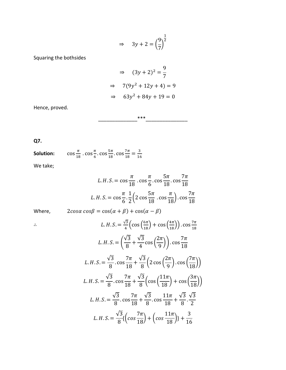$$
\Rightarrow \quad 3y + 2 = \left(\frac{9}{7}\right)^{\frac{1}{2}}
$$

Squaring the bothsides

$$
\Rightarrow (3y+2)^2 = \frac{9}{7}
$$
  

$$
\Rightarrow 7(9y^2+12y+4) = 9
$$
  

$$
\Rightarrow 63y^2+84y+19 = 0
$$

\_\_\_\_\_\_\_\_\_\_\_\_\_\_\*\*\*\_\_\_\_\_\_\_\_\_\_\_\_\_\_\_

Hence, proved.

**Q7.**

**Solution:** 
$$
\cos \frac{\pi}{18} \cdot \cos \frac{\pi}{6} \cdot \cos \frac{5\pi}{18} \cdot \cos \frac{7\pi}{18} = \frac{3}{16}
$$

We take;

$$
L.H.S. = \cos\frac{\pi}{18} \cdot \cos\frac{\pi}{6} \cdot \cos\frac{5\pi}{18} \cdot \cos\frac{7\pi}{18}
$$
  
\n
$$
L.H.S. = \cos\frac{\pi}{6} \cdot \frac{1}{2} \left( 2 \cos\frac{5\pi}{18} \cdot \cos\frac{\pi}{18} \right) \cdot \cos\frac{7\pi}{18}
$$
  
\nWhere,  
\n
$$
2\cos\alpha \cos\beta = \cos(\alpha + \beta) + \cos(\alpha - \beta)
$$
  
\n
$$
L.H.S. = \frac{\sqrt{3}}{4} \left( \cos\left(\frac{6\pi}{18}\right) + \cos\left(\frac{4\pi}{18}\right) \right) \cdot \cos\frac{7\pi}{18}
$$
  
\n
$$
L.H.S. = \left( \frac{\sqrt{3}}{8} + \frac{\sqrt{3}}{4} \cos\left(\frac{2\pi}{9}\right) \right) \cdot \cos\frac{7\pi}{18}
$$
  
\n
$$
L.H.S. = \frac{\sqrt{3}}{8} \cdot \cos\frac{7\pi}{18} + \frac{\sqrt{3}}{8} \left( 2 \cos\left(\frac{2\pi}{9}\right) \cdot \cos\left(\frac{7\pi}{18}\right) \right)
$$
  
\n
$$
L.H.S. = \frac{\sqrt{3}}{8} \cdot \cos\frac{7\pi}{18} + \frac{\sqrt{3}}{8} \left( \cos\left(\frac{11\pi}{18}\right) + \cos\left(\frac{3\pi}{18}\right) \right)
$$
  
\n
$$
L.H.S. = \frac{\sqrt{3}}{8} \cdot \cos\frac{7\pi}{18} + \frac{\sqrt{3}}{8} \cdot \cos\frac{11\pi}{18} + \frac{\sqrt{3}}{8} \cdot \frac{\sqrt{3}}{2}
$$
  
\n
$$
L.H.S. = \frac{\sqrt{3}}{8} \left( \cos\frac{7\pi}{18} \right) + \left( \cos\frac{11\pi}{18} \right) \right) + \frac{3}{16}
$$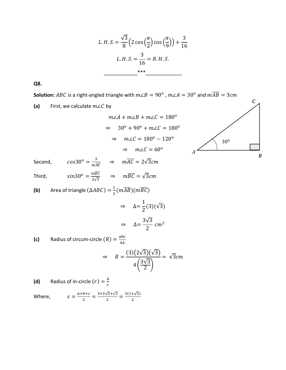L.H.S. = 
$$
\frac{\sqrt{3}}{8} \left( 2 \cos \left( \frac{\pi}{2} \right) \cos \left( \frac{\pi}{9} \right) \right) + \frac{3}{16}
$$
  
L.H.S. =  $\frac{3}{16}$  = R.H.S.  
\_\_\_\_\_\_\_\_\_\_

**Q8.**

**Solution:**  $ABC$  is a right-angled triangle with  $m\angle B = 90^o$  ,  $m\angle A = 30^o$  and  $m\overline{AB} = 3cm$ 

**(a)** First, we calculate  $m∠C$  by

$$
m\angle A + m\angle B + m\angle C = 180^{\circ}
$$
  
\n
$$
\Rightarrow 30^{\circ} + 90^{\circ} + m\angle C = 180^{\circ}
$$
  
\n
$$
\Rightarrow m\angle C = 180^{\circ} - 120^{\circ}
$$
  
\n
$$
\Rightarrow m\angle C = 60^{\circ}
$$



Second,  $cos 30^\circ = \frac{3}{2}$  $\frac{3}{m\overline{AC}}$   $\Rightarrow$   $m\overline{AC} = 2\sqrt{3}cm$ Third,  $sin 30^\circ = \frac{m\overline{BC}}{3\sqrt{3}}$  $\frac{mBC}{2\sqrt{3}}$   $\Rightarrow$   $m\overline{BC} = \sqrt{3}cm$ 

**(b)** Area of triangle  $(\triangle ABC) = \frac{1}{2}$  $\frac{1}{2}(m\overline{AB})(m\overline{BC})$ 

$$
\Rightarrow \quad \Delta = \frac{1}{2}(3)(\sqrt{3})
$$

$$
\Rightarrow \quad \Delta = \frac{3\sqrt{3}}{2} \, \text{cm}^2
$$

**(c)** Radius of circum-circle  $(R) = \frac{abc}{4\Delta}$ 4∆

$$
\Rightarrow R = \frac{(3)(2\sqrt{3})(\sqrt{3})}{4\left(\frac{3\sqrt{3}}{2}\right)} = \sqrt{3}cm
$$

**(d)** Radius of in-circle  $(r) = \frac{\Delta}{c}$ S Where,  $a+b+c$  $\frac{b+c}{2} = \frac{3+2\sqrt{3}+\sqrt{3}}{2}$  $\frac{\sqrt{3}+\sqrt{3}}{2} = \frac{3(1+\sqrt{3})}{2}$ 2